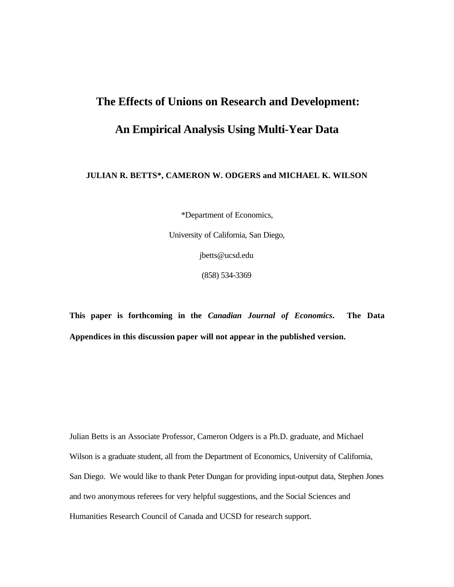# **The Effects of Unions on Research and Development: An Empirical Analysis Using Multi-Year Data**

#### **JULIAN R. BETTS\*, CAMERON W. ODGERS and MICHAEL K. WILSON**

\*Department of Economics,

University of California, San Diego, jbetts@ucsd.edu

(858) 534-3369

**This paper is forthcoming in the** *Canadian Journal of Economics***. The Data Appendices in this discussion paper will not appear in the published version.**

Julian Betts is an Associate Professor, Cameron Odgers is a Ph.D. graduate, and Michael Wilson is a graduate student, all from the Department of Economics, University of California, San Diego. We would like to thank Peter Dungan for providing input-output data, Stephen Jones and two anonymous referees for very helpful suggestions, and the Social Sciences and Humanities Research Council of Canada and UCSD for research support.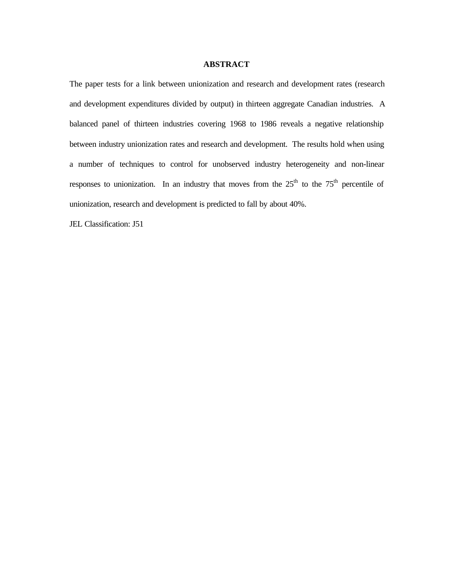#### **ABSTRACT**

The paper tests for a link between unionization and research and development rates (research and development expenditures divided by output) in thirteen aggregate Canadian industries. A balanced panel of thirteen industries covering 1968 to 1986 reveals a negative relationship between industry unionization rates and research and development. The results hold when using a number of techniques to control for unobserved industry heterogeneity and non-linear responses to unionization. In an industry that moves from the  $25<sup>th</sup>$  to the  $75<sup>th</sup>$  percentile of unionization, research and development is predicted to fall by about 40%.

JEL Classification: J51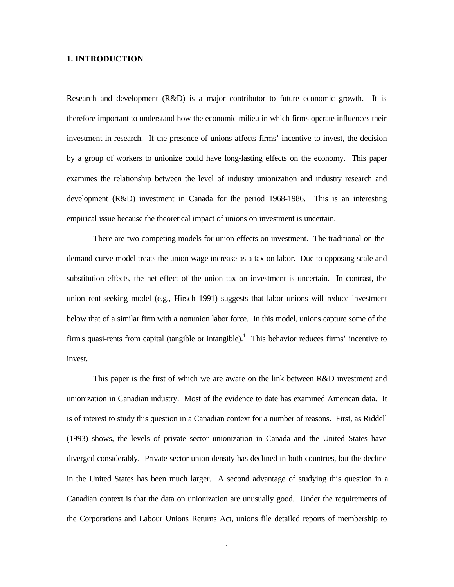#### **1. INTRODUCTION**

Research and development (R&D) is a major contributor to future economic growth. It is therefore important to understand how the economic milieu in which firms operate influences their investment in research. If the presence of unions affects firms' incentive to invest, the decision by a group of workers to unionize could have long-lasting effects on the economy. This paper examines the relationship between the level of industry unionization and industry research and development (R&D) investment in Canada for the period 1968-1986. This is an interesting empirical issue because the theoretical impact of unions on investment is uncertain.

There are two competing models for union effects on investment. The traditional on-thedemand-curve model treats the union wage increase as a tax on labor. Due to opposing scale and substitution effects, the net effect of the union tax on investment is uncertain. In contrast, the union rent-seeking model (e.g., Hirsch 1991) suggests that labor unions will reduce investment below that of a similar firm with a nonunion labor force. In this model, unions capture some of the firm's quasi-rents from capital (tangible or intangible).<sup>1</sup> This behavior reduces firms' incentive to invest.

This paper is the first of which we are aware on the link between R&D investment and unionization in Canadian industry. Most of the evidence to date has examined American data. It is of interest to study this question in a Canadian context for a number of reasons. First, as Riddell (1993) shows, the levels of private sector unionization in Canada and the United States have diverged considerably. Private sector union density has declined in both countries, but the decline in the United States has been much larger. A second advantage of studying this question in a Canadian context is that the data on unionization are unusually good. Under the requirements of the Corporations and Labour Unions Returns Act, unions file detailed reports of membership to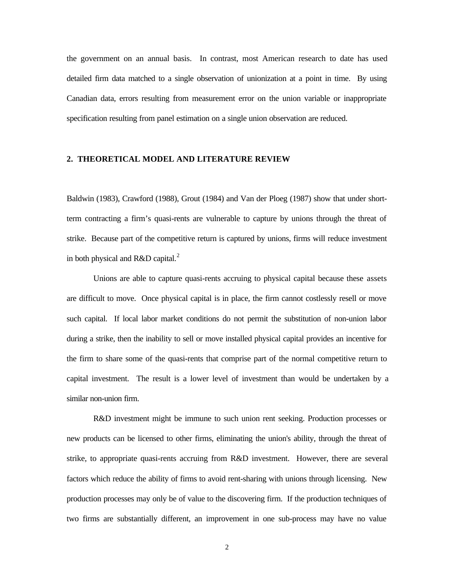the government on an annual basis. In contrast, most American research to date has used detailed firm data matched to a single observation of unionization at a point in time. By using Canadian data, errors resulting from measurement error on the union variable or inappropriate specification resulting from panel estimation on a single union observation are reduced.

#### **2. THEORETICAL MODEL AND LITERATURE REVIEW**

Baldwin (1983), Crawford (1988), Grout (1984) and Van der Ploeg (1987) show that under shortterm contracting a firm's quasi-rents are vulnerable to capture by unions through the threat of strike. Because part of the competitive return is captured by unions, firms will reduce investment in both physical and R&D capital. $^{2}$ 

Unions are able to capture quasi-rents accruing to physical capital because these assets are difficult to move. Once physical capital is in place, the firm cannot costlessly resell or move such capital. If local labor market conditions do not permit the substitution of non-union labor during a strike, then the inability to sell or move installed physical capital provides an incentive for the firm to share some of the quasi-rents that comprise part of the normal competitive return to capital investment. The result is a lower level of investment than would be undertaken by a similar non-union firm.

R&D investment might be immune to such union rent seeking. Production processes or new products can be licensed to other firms, eliminating the union's ability, through the threat of strike, to appropriate quasi-rents accruing from R&D investment. However, there are several factors which reduce the ability of firms to avoid rent-sharing with unions through licensing. New production processes may only be of value to the discovering firm. If the production techniques of two firms are substantially different, an improvement in one sub-process may have no value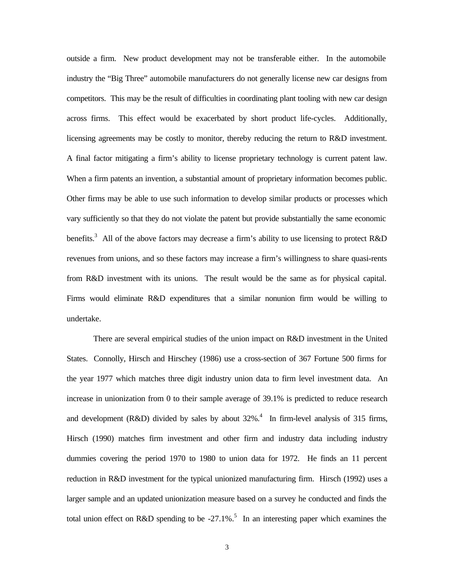outside a firm. New product development may not be transferable either. In the automobile industry the "Big Three" automobile manufacturers do not generally license new car designs from competitors. This may be the result of difficulties in coordinating plant tooling with new car design across firms. This effect would be exacerbated by short product life-cycles. Additionally, licensing agreements may be costly to monitor, thereby reducing the return to R&D investment. A final factor mitigating a firm's ability to license proprietary technology is current patent law. When a firm patents an invention, a substantial amount of proprietary information becomes public. Other firms may be able to use such information to develop similar products or processes which vary sufficiently so that they do not violate the patent but provide substantially the same economic benefits.<sup>3</sup> All of the above factors may decrease a firm's ability to use licensing to protect R&D revenues from unions, and so these factors may increase a firm's willingness to share quasi-rents from R&D investment with its unions. The result would be the same as for physical capital. Firms would eliminate R&D expenditures that a similar nonunion firm would be willing to undertake.

There are several empirical studies of the union impact on R&D investment in the United States. Connolly, Hirsch and Hirschey (1986) use a cross-section of 367 Fortune 500 firms for the year 1977 which matches three digit industry union data to firm level investment data. An increase in unionization from 0 to their sample average of 39.1% is predicted to reduce research and development (R&D) divided by sales by about  $32\%$ .<sup>4</sup> In firm-level analysis of 315 firms, Hirsch (1990) matches firm investment and other firm and industry data including industry dummies covering the period 1970 to 1980 to union data for 1972. He finds an 11 percent reduction in R&D investment for the typical unionized manufacturing firm. Hirsch (1992) uses a larger sample and an updated unionization measure based on a survey he conducted and finds the total union effect on R&D spending to be -27.1%.<sup>5</sup> In an interesting paper which examines the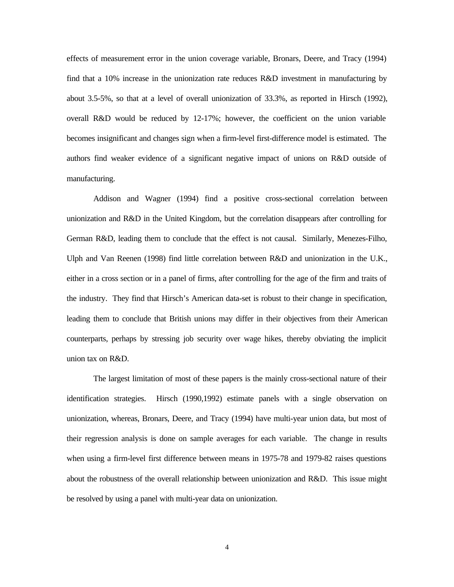effects of measurement error in the union coverage variable, Bronars, Deere, and Tracy (1994) find that a 10% increase in the unionization rate reduces R&D investment in manufacturing by about 3.5-5%, so that at a level of overall unionization of 33.3%, as reported in Hirsch (1992), overall R&D would be reduced by 12-17%; however, the coefficient on the union variable becomes insignificant and changes sign when a firm-level first-difference model is estimated. The authors find weaker evidence of a significant negative impact of unions on R&D outside of manufacturing.

Addison and Wagner (1994) find a positive cross-sectional correlation between unionization and R&D in the United Kingdom, but the correlation disappears after controlling for German R&D, leading them to conclude that the effect is not causal. Similarly, Menezes-Filho, Ulph and Van Reenen (1998) find little correlation between R&D and unionization in the U.K., either in a cross section or in a panel of firms, after controlling for the age of the firm and traits of the industry. They find that Hirsch's American data-set is robust to their change in specification, leading them to conclude that British unions may differ in their objectives from their American counterparts, perhaps by stressing job security over wage hikes, thereby obviating the implicit union tax on R&D.

The largest limitation of most of these papers is the mainly cross-sectional nature of their identification strategies. Hirsch (1990,1992) estimate panels with a single observation on unionization, whereas, Bronars, Deere, and Tracy (1994) have multi-year union data, but most of their regression analysis is done on sample averages for each variable. The change in results when using a firm-level first difference between means in 1975-78 and 1979-82 raises questions about the robustness of the overall relationship between unionization and R&D. This issue might be resolved by using a panel with multi-year data on unionization.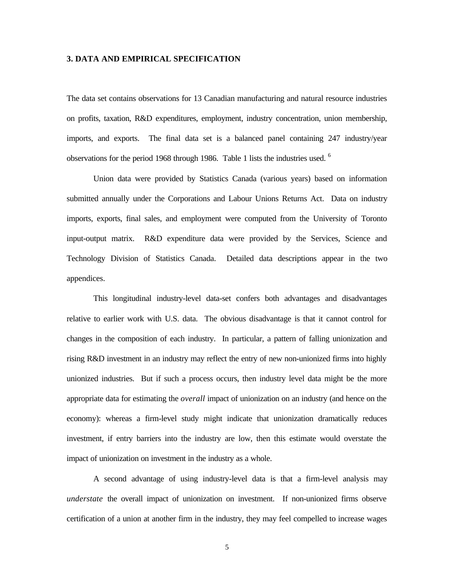#### **3. DATA AND EMPIRICAL SPECIFICATION**

The data set contains observations for 13 Canadian manufacturing and natural resource industries on profits, taxation, R&D expenditures, employment, industry concentration, union membership, imports, and exports. The final data set is a balanced panel containing 247 industry/year observations for the period 1968 through 1986. Table 1 lists the industries used. <sup>6</sup>

Union data were provided by Statistics Canada (various years) based on information submitted annually under the Corporations and Labour Unions Returns Act. Data on industry imports, exports, final sales, and employment were computed from the University of Toronto input-output matrix. R&D expenditure data were provided by the Services, Science and Technology Division of Statistics Canada. Detailed data descriptions appear in the two appendices.

This longitudinal industry-level data-set confers both advantages and disadvantages relative to earlier work with U.S. data. The obvious disadvantage is that it cannot control for changes in the composition of each industry. In particular, a pattern of falling unionization and rising R&D investment in an industry may reflect the entry of new non-unionized firms into highly unionized industries. But if such a process occurs, then industry level data might be the more appropriate data for estimating the *overall* impact of unionization on an industry (and hence on the economy): whereas a firm-level study might indicate that unionization dramatically reduces investment, if entry barriers into the industry are low, then this estimate would overstate the impact of unionization on investment in the industry as a whole.

A second advantage of using industry-level data is that a firm-level analysis may *understate* the overall impact of unionization on investment. If non-unionized firms observe certification of a union at another firm in the industry, they may feel compelled to increase wages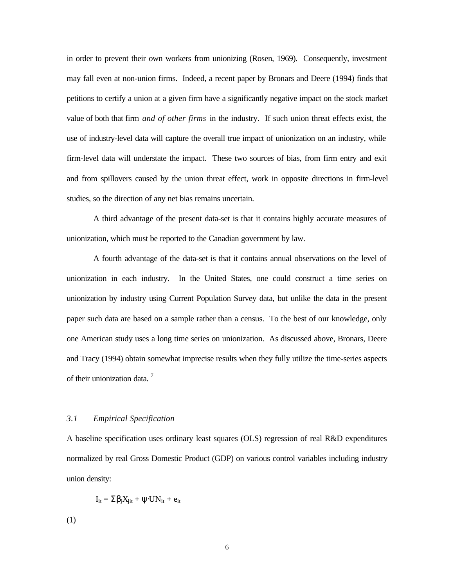in order to prevent their own workers from unionizing (Rosen, 1969). Consequently, investment may fall even at non-union firms. Indeed, a recent paper by Bronars and Deere (1994) finds that petitions to certify a union at a given firm have a significantly negative impact on the stock market value of both that firm *and of other firms* in the industry. If such union threat effects exist, the use of industry-level data will capture the overall true impact of unionization on an industry, while firm-level data will understate the impact. These two sources of bias, from firm entry and exit and from spillovers caused by the union threat effect, work in opposite directions in firm-level studies, so the direction of any net bias remains uncertain.

A third advantage of the present data-set is that it contains highly accurate measures of unionization, which must be reported to the Canadian government by law.

A fourth advantage of the data-set is that it contains annual observations on the level of unionization in each industry. In the United States, one could construct a time series on unionization by industry using Current Population Survey data, but unlike the data in the present paper such data are based on a sample rather than a census. To the best of our knowledge, only one American study uses a long time series on unionization. As discussed above, Bronars, Deere and Tracy (1994) obtain somewhat imprecise results when they fully utilize the time-series aspects of their unionization data.<sup>7</sup>

#### *3.1 Empirical Specification*

A baseline specification uses ordinary least squares (OLS) regression of real R&D expenditures normalized by real Gross Domestic Product (GDP) on various control variables including industry union density:

$$
I_{it} = \Sigma \beta_i X_{jit} + \psi \cdot UN_{it} + e_{it}
$$

(1)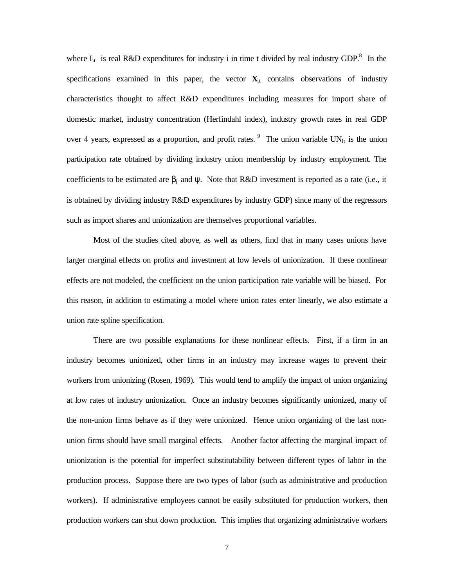where  $I_{it}$  is real R&D expenditures for industry i in time t divided by real industry GDP.<sup>8</sup> In the specifications examined in this paper, the vector  $\mathbf{X}_{it}$  contains observations of industry characteristics thought to affect R&D expenditures including measures for import share of domestic market, industry concentration (Herfindahl index), industry growth rates in real GDP over 4 years, expressed as a proportion, and profit rates.  $9\text{ }$  The union variable UN<sub>it</sub> is the union participation rate obtained by dividing industry union membership by industry employment. The coefficients to be estimated are  $\beta_i$  and  $\psi$ . Note that R&D investment is reported as a rate (i.e., it is obtained by dividing industry R&D expenditures by industry GDP) since many of the regressors such as import shares and unionization are themselves proportional variables.

Most of the studies cited above, as well as others, find that in many cases unions have larger marginal effects on profits and investment at low levels of unionization. If these nonlinear effects are not modeled, the coefficient on the union participation rate variable will be biased. For this reason, in addition to estimating a model where union rates enter linearly, we also estimate a union rate spline specification.

There are two possible explanations for these nonlinear effects. First, if a firm in an industry becomes unionized, other firms in an industry may increase wages to prevent their workers from unionizing (Rosen, 1969). This would tend to amplify the impact of union organizing at low rates of industry unionization. Once an industry becomes significantly unionized, many of the non-union firms behave as if they were unionized. Hence union organizing of the last nonunion firms should have small marginal effects. Another factor affecting the marginal impact of unionization is the potential for imperfect substitutability between different types of labor in the production process. Suppose there are two types of labor (such as administrative and production workers). If administrative employees cannot be easily substituted for production workers, then production workers can shut down production. This implies that organizing administrative workers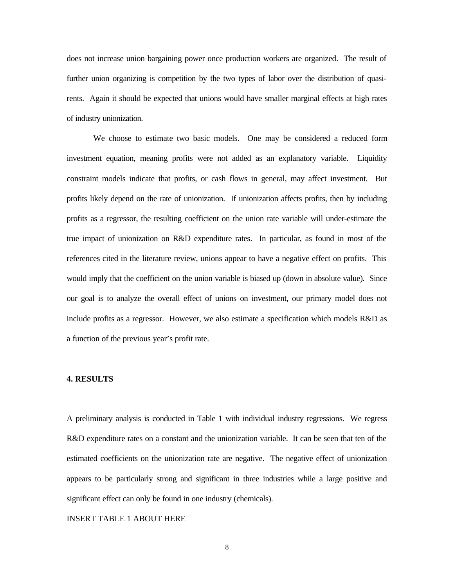does not increase union bargaining power once production workers are organized. The result of further union organizing is competition by the two types of labor over the distribution of quasirents. Again it should be expected that unions would have smaller marginal effects at high rates of industry unionization.

We choose to estimate two basic models. One may be considered a reduced form investment equation, meaning profits were not added as an explanatory variable. Liquidity constraint models indicate that profits, or cash flows in general, may affect investment. But profits likely depend on the rate of unionization. If unionization affects profits, then by including profits as a regressor, the resulting coefficient on the union rate variable will under-estimate the true impact of unionization on R&D expenditure rates. In particular, as found in most of the references cited in the literature review, unions appear to have a negative effect on profits. This would imply that the coefficient on the union variable is biased up (down in absolute value). Since our goal is to analyze the overall effect of unions on investment, our primary model does not include profits as a regressor. However, we also estimate a specification which models R&D as a function of the previous year's profit rate.

#### **4. RESULTS**

A preliminary analysis is conducted in Table 1 with individual industry regressions. We regress R&D expenditure rates on a constant and the unionization variable. It can be seen that ten of the estimated coefficients on the unionization rate are negative. The negative effect of unionization appears to be particularly strong and significant in three industries while a large positive and significant effect can only be found in one industry (chemicals).

#### INSERT TABLE 1 ABOUT HERE

8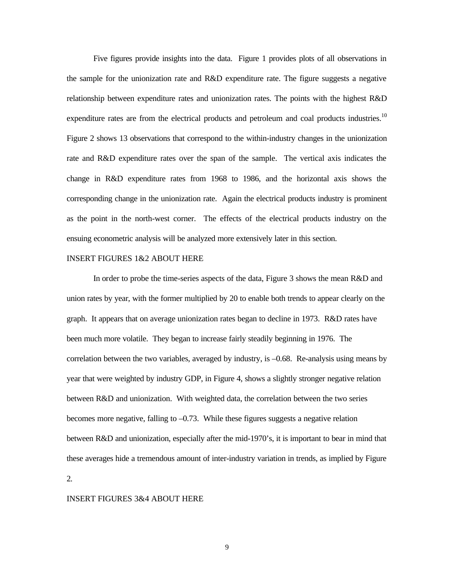Five figures provide insights into the data. Figure 1 provides plots of all observations in the sample for the unionization rate and R&D expenditure rate. The figure suggests a negative relationship between expenditure rates and unionization rates. The points with the highest R&D expenditure rates are from the electrical products and petroleum and coal products industries.<sup>10</sup> Figure 2 shows 13 observations that correspond to the within-industry changes in the unionization rate and R&D expenditure rates over the span of the sample. The vertical axis indicates the change in R&D expenditure rates from 1968 to 1986, and the horizontal axis shows the corresponding change in the unionization rate. Again the electrical products industry is prominent as the point in the north-west corner. The effects of the electrical products industry on the ensuing econometric analysis will be analyzed more extensively later in this section.

#### INSERT FIGURES 1&2 ABOUT HERE

In order to probe the time-series aspects of the data, Figure 3 shows the mean R&D and union rates by year, with the former multiplied by 20 to enable both trends to appear clearly on the graph. It appears that on average unionization rates began to decline in 1973. R&D rates have been much more volatile. They began to increase fairly steadily beginning in 1976. The correlation between the two variables, averaged by industry, is –0.68. Re-analysis using means by year that were weighted by industry GDP, in Figure 4, shows a slightly stronger negative relation between R&D and unionization. With weighted data, the correlation between the two series becomes more negative, falling to –0.73. While these figures suggests a negative relation between R&D and unionization, especially after the mid-1970's, it is important to bear in mind that these averages hide a tremendous amount of inter-industry variation in trends, as implied by Figure 2.

#### INSERT FIGURES 3&4 ABOUT HERE

9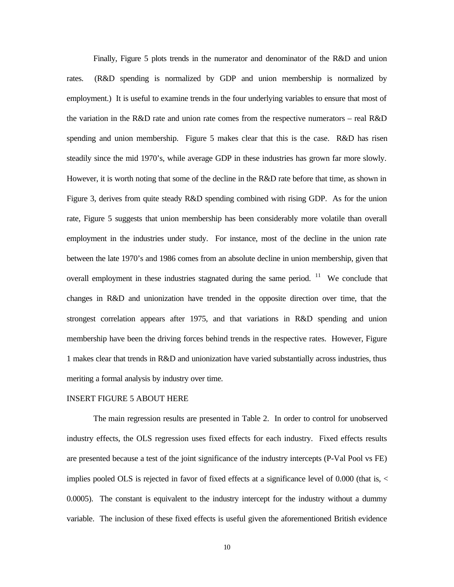Finally, Figure 5 plots trends in the numerator and denominator of the R&D and union rates. (R&D spending is normalized by GDP and union membership is normalized by employment.) It is useful to examine trends in the four underlying variables to ensure that most of the variation in the R&D rate and union rate comes from the respective numerators – real R&D spending and union membership. Figure 5 makes clear that this is the case. R&D has risen steadily since the mid 1970's, while average GDP in these industries has grown far more slowly. However, it is worth noting that some of the decline in the R&D rate before that time, as shown in Figure 3, derives from quite steady R&D spending combined with rising GDP. As for the union rate, Figure 5 suggests that union membership has been considerably more volatile than overall employment in the industries under study. For instance, most of the decline in the union rate between the late 1970's and 1986 comes from an absolute decline in union membership, given that overall employment in these industries stagnated during the same period.  $11$  We conclude that changes in R&D and unionization have trended in the opposite direction over time, that the strongest correlation appears after 1975, and that variations in R&D spending and union membership have been the driving forces behind trends in the respective rates. However, Figure 1 makes clear that trends in R&D and unionization have varied substantially across industries, thus meriting a formal analysis by industry over time.

#### INSERT FIGURE 5 ABOUT HERE

The main regression results are presented in Table 2. In order to control for unobserved industry effects, the OLS regression uses fixed effects for each industry. Fixed effects results are presented because a test of the joint significance of the industry intercepts (P-Val Pool vs FE) implies pooled OLS is rejected in favor of fixed effects at a significance level of 0.000 (that is, < 0.0005). The constant is equivalent to the industry intercept for the industry without a dummy variable. The inclusion of these fixed effects is useful given the aforementioned British evidence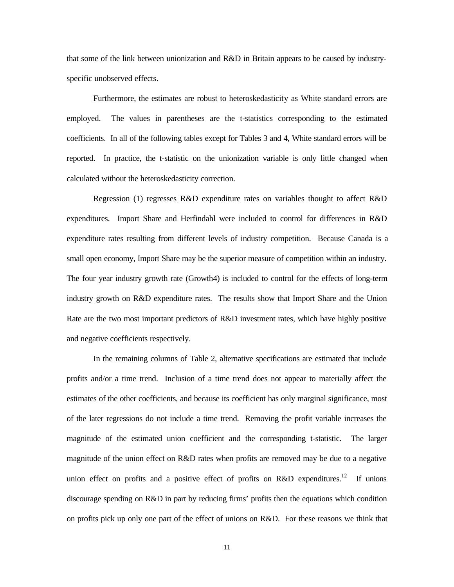that some of the link between unionization and R&D in Britain appears to be caused by industryspecific unobserved effects.

Furthermore, the estimates are robust to heteroskedasticity as White standard errors are employed. The values in parentheses are the t-statistics corresponding to the estimated coefficients. In all of the following tables except for Tables 3 and 4, White standard errors will be reported. In practice, the t-statistic on the unionization variable is only little changed when calculated without the heteroskedasticity correction.

Regression (1) regresses R&D expenditure rates on variables thought to affect R&D expenditures. Import Share and Herfindahl were included to control for differences in R&D expenditure rates resulting from different levels of industry competition. Because Canada is a small open economy, Import Share may be the superior measure of competition within an industry. The four year industry growth rate (Growth4) is included to control for the effects of long-term industry growth on R&D expenditure rates. The results show that Import Share and the Union Rate are the two most important predictors of R&D investment rates, which have highly positive and negative coefficients respectively.

In the remaining columns of Table 2, alternative specifications are estimated that include profits and/or a time trend. Inclusion of a time trend does not appear to materially affect the estimates of the other coefficients, and because its coefficient has only marginal significance, most of the later regressions do not include a time trend. Removing the profit variable increases the magnitude of the estimated union coefficient and the corresponding t-statistic. The larger magnitude of the union effect on R&D rates when profits are removed may be due to a negative union effect on profits and a positive effect of profits on R&D expenditures.<sup>12</sup> If unions discourage spending on R&D in part by reducing firms' profits then the equations which condition on profits pick up only one part of the effect of unions on R&D. For these reasons we think that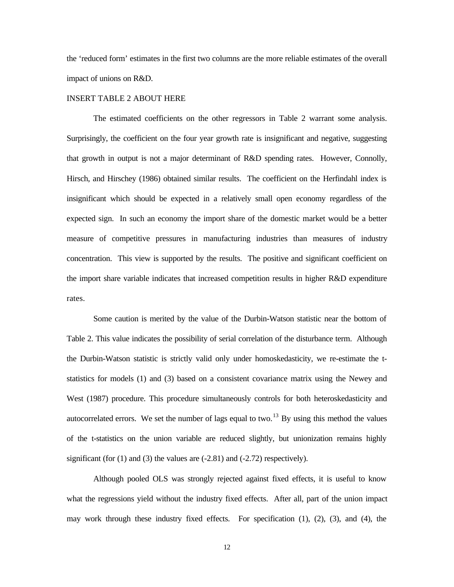the 'reduced form' estimates in the first two columns are the more reliable estimates of the overall impact of unions on R&D.

#### INSERT TABLE 2 ABOUT HERE

The estimated coefficients on the other regressors in Table 2 warrant some analysis. Surprisingly, the coefficient on the four year growth rate is insignificant and negative, suggesting that growth in output is not a major determinant of R&D spending rates. However, Connolly, Hirsch, and Hirschey (1986) obtained similar results. The coefficient on the Herfindahl index is insignificant which should be expected in a relatively small open economy regardless of the expected sign. In such an economy the import share of the domestic market would be a better measure of competitive pressures in manufacturing industries than measures of industry concentration. This view is supported by the results. The positive and significant coefficient on the import share variable indicates that increased competition results in higher R&D expenditure rates.

Some caution is merited by the value of the Durbin-Watson statistic near the bottom of Table 2. This value indicates the possibility of serial correlation of the disturbance term. Although the Durbin-Watson statistic is strictly valid only under homoskedasticity, we re-estimate the tstatistics for models (1) and (3) based on a consistent covariance matrix using the Newey and West (1987) procedure. This procedure simultaneously controls for both heteroskedasticity and autocorrelated errors. We set the number of lags equal to two.<sup>13</sup> By using this method the values of the t-statistics on the union variable are reduced slightly, but unionization remains highly significant (for  $(1)$  and  $(3)$  the values are  $(-2.81)$  and  $(-2.72)$  respectively).

Although pooled OLS was strongly rejected against fixed effects, it is useful to know what the regressions yield without the industry fixed effects. After all, part of the union impact may work through these industry fixed effects. For specification (1), (2), (3), and (4), the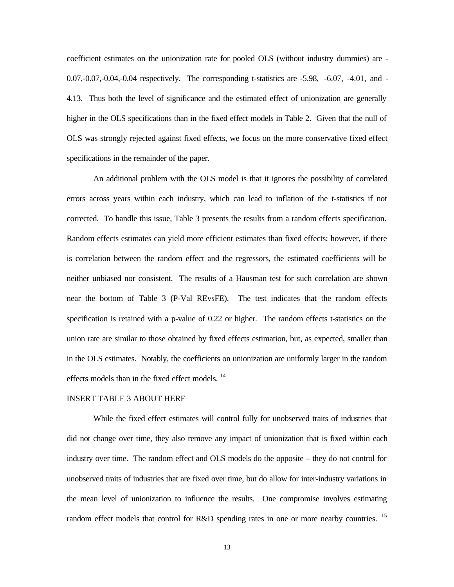coefficient estimates on the unionization rate for pooled OLS (without industry dummies) are - 0.07,-0.07,-0.04,-0.04 respectively. The corresponding t-statistics are -5.98, -6.07, -4.01, and - 4.13. Thus both the level of significance and the estimated effect of unionization are generally higher in the OLS specifications than in the fixed effect models in Table 2. Given that the null of OLS was strongly rejected against fixed effects, we focus on the more conservative fixed effect specifications in the remainder of the paper.

An additional problem with the OLS model is that it ignores the possibility of correlated errors across years within each industry, which can lead to inflation of the t-statistics if not corrected. To handle this issue, Table 3 presents the results from a random effects specification. Random effects estimates can yield more efficient estimates than fixed effects; however, if there is correlation between the random effect and the regressors, the estimated coefficients will be neither unbiased nor consistent. The results of a Hausman test for such correlation are shown near the bottom of Table 3 (P-Val REvsFE). The test indicates that the random effects specification is retained with a p-value of 0.22 or higher. The random effects t-statistics on the union rate are similar to those obtained by fixed effects estimation, but, as expected, smaller than in the OLS estimates. Notably, the coefficients on unionization are uniformly larger in the random effects models than in the fixed effect models.<sup>14</sup>

#### INSERT TABLE 3 ABOUT HERE

While the fixed effect estimates will control fully for unobserved traits of industries that did not change over time, they also remove any impact of unionization that is fixed within each industry over time. The random effect and OLS models do the opposite – they do not control for unobserved traits of industries that are fixed over time, but do allow for inter-industry variations in the mean level of unionization to influence the results. One compromise involves estimating random effect models that control for R&D spending rates in one or more nearby countries.  $15$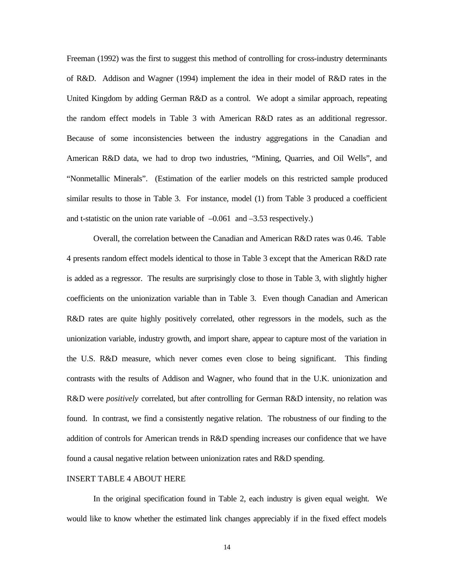Freeman (1992) was the first to suggest this method of controlling for cross-industry determinants of R&D. Addison and Wagner (1994) implement the idea in their model of R&D rates in the United Kingdom by adding German R&D as a control. We adopt a similar approach, repeating the random effect models in Table 3 with American R&D rates as an additional regressor. Because of some inconsistencies between the industry aggregations in the Canadian and American R&D data, we had to drop two industries, "Mining, Quarries, and Oil Wells", and "Nonmetallic Minerals". (Estimation of the earlier models on this restricted sample produced similar results to those in Table 3. For instance, model (1) from Table 3 produced a coefficient and t-statistic on the union rate variable of  $-0.061$  and  $-3.53$  respectively.)

Overall, the correlation between the Canadian and American R&D rates was 0.46. Table 4 presents random effect models identical to those in Table 3 except that the American R&D rate is added as a regressor. The results are surprisingly close to those in Table 3, with slightly higher coefficients on the unionization variable than in Table 3. Even though Canadian and American R&D rates are quite highly positively correlated, other regressors in the models, such as the unionization variable, industry growth, and import share, appear to capture most of the variation in the U.S. R&D measure, which never comes even close to being significant. This finding contrasts with the results of Addison and Wagner, who found that in the U.K. unionization and R&D were *positively* correlated, but after controlling for German R&D intensity, no relation was found. In contrast, we find a consistently negative relation. The robustness of our finding to the addition of controls for American trends in R&D spending increases our confidence that we have found a causal negative relation between unionization rates and R&D spending.

#### INSERT TABLE 4 ABOUT HERE

In the original specification found in Table 2, each industry is given equal weight. We would like to know whether the estimated link changes appreciably if in the fixed effect models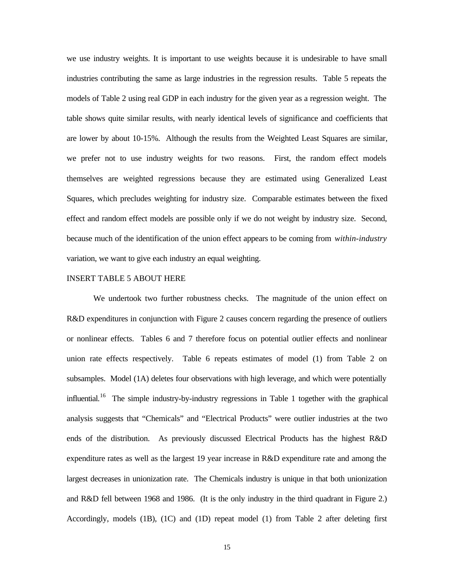we use industry weights. It is important to use weights because it is undesirable to have small industries contributing the same as large industries in the regression results. Table 5 repeats the models of Table 2 using real GDP in each industry for the given year as a regression weight. The table shows quite similar results, with nearly identical levels of significance and coefficients that are lower by about 10-15%. Although the results from the Weighted Least Squares are similar, we prefer not to use industry weights for two reasons. First, the random effect models themselves are weighted regressions because they are estimated using Generalized Least Squares, which precludes weighting for industry size. Comparable estimates between the fixed effect and random effect models are possible only if we do not weight by industry size. Second, because much of the identification of the union effect appears to be coming from *within-industry* variation, we want to give each industry an equal weighting.

#### INSERT TABLE 5 ABOUT HERE

We undertook two further robustness checks. The magnitude of the union effect on R&D expenditures in conjunction with Figure 2 causes concern regarding the presence of outliers or nonlinear effects. Tables 6 and 7 therefore focus on potential outlier effects and nonlinear union rate effects respectively. Table 6 repeats estimates of model (1) from Table 2 on subsamples. Model (1A) deletes four observations with high leverage, and which were potentially influential.<sup>16</sup> The simple industry-by-industry regressions in Table 1 together with the graphical analysis suggests that "Chemicals" and "Electrical Products" were outlier industries at the two ends of the distribution. As previously discussed Electrical Products has the highest R&D expenditure rates as well as the largest 19 year increase in R&D expenditure rate and among the largest decreases in unionization rate. The Chemicals industry is unique in that both unionization and R&D fell between 1968 and 1986. (It is the only industry in the third quadrant in Figure 2.) Accordingly, models (1B), (1C) and (1D) repeat model (1) from Table 2 after deleting first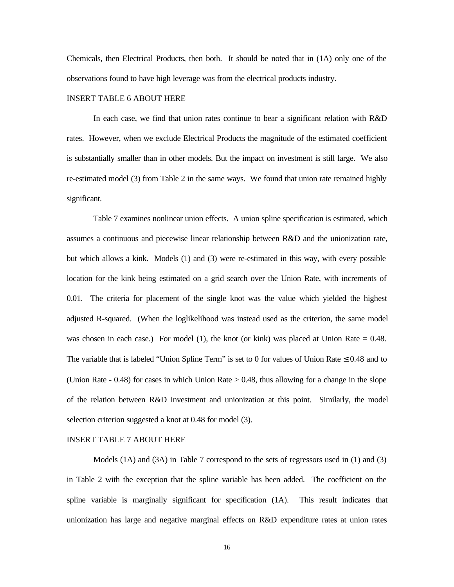Chemicals, then Electrical Products, then both. It should be noted that in (1A) only one of the observations found to have high leverage was from the electrical products industry.

#### INSERT TABLE 6 ABOUT HERE

In each case, we find that union rates continue to bear a significant relation with R&D rates. However, when we exclude Electrical Products the magnitude of the estimated coefficient is substantially smaller than in other models. But the impact on investment is still large. We also re-estimated model (3) from Table 2 in the same ways. We found that union rate remained highly significant.

Table 7 examines nonlinear union effects. A union spline specification is estimated, which assumes a continuous and piecewise linear relationship between R&D and the unionization rate, but which allows a kink. Models (1) and (3) were re-estimated in this way, with every possible location for the kink being estimated on a grid search over the Union Rate, with increments of 0.01. The criteria for placement of the single knot was the value which yielded the highest adjusted R-squared. (When the loglikelihood was instead used as the criterion, the same model was chosen in each case.) For model (1), the knot (or kink) was placed at Union Rate  $= 0.48$ . The variable that is labeled "Union Spline Term" is set to 0 for values of Union Rate  $\leq 0.48$  and to (Union Rate  $-0.48$ ) for cases in which Union Rate  $> 0.48$ , thus allowing for a change in the slope of the relation between R&D investment and unionization at this point. Similarly, the model selection criterion suggested a knot at 0.48 for model (3).

#### INSERT TABLE 7 ABOUT HERE

Models (1A) and (3A) in Table 7 correspond to the sets of regressors used in (1) and (3) in Table 2 with the exception that the spline variable has been added. The coefficient on the spline variable is marginally significant for specification (1A). This result indicates that unionization has large and negative marginal effects on R&D expenditure rates at union rates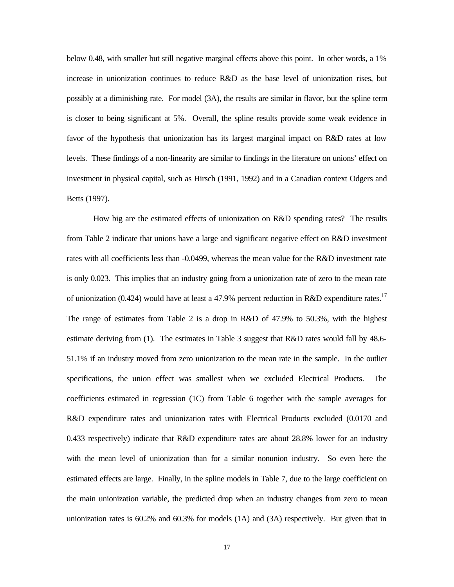below 0.48, with smaller but still negative marginal effects above this point. In other words, a 1% increase in unionization continues to reduce R&D as the base level of unionization rises, but possibly at a diminishing rate. For model (3A), the results are similar in flavor, but the spline term is closer to being significant at 5%. Overall, the spline results provide some weak evidence in favor of the hypothesis that unionization has its largest marginal impact on R&D rates at low levels. These findings of a non-linearity are similar to findings in the literature on unions' effect on investment in physical capital, such as Hirsch (1991, 1992) and in a Canadian context Odgers and Betts (1997).

How big are the estimated effects of unionization on R&D spending rates? The results from Table 2 indicate that unions have a large and significant negative effect on R&D investment rates with all coefficients less than -0.0499, whereas the mean value for the R&D investment rate is only 0.023. This implies that an industry going from a unionization rate of zero to the mean rate of unionization (0.424) would have at least a 47.9% percent reduction in R&D expenditure rates.<sup>17</sup> The range of estimates from Table 2 is a drop in R&D of 47.9% to 50.3%, with the highest estimate deriving from (1). The estimates in Table 3 suggest that R&D rates would fall by 48.6- 51.1% if an industry moved from zero unionization to the mean rate in the sample. In the outlier specifications, the union effect was smallest when we excluded Electrical Products. The coefficients estimated in regression (1C) from Table 6 together with the sample averages for R&D expenditure rates and unionization rates with Electrical Products excluded (0.0170 and 0.433 respectively) indicate that R&D expenditure rates are about 28.8% lower for an industry with the mean level of unionization than for a similar nonunion industry. So even here the estimated effects are large. Finally, in the spline models in Table 7, due to the large coefficient on the main unionization variable, the predicted drop when an industry changes from zero to mean unionization rates is 60.2% and 60.3% for models (1A) and (3A) respectively. But given that in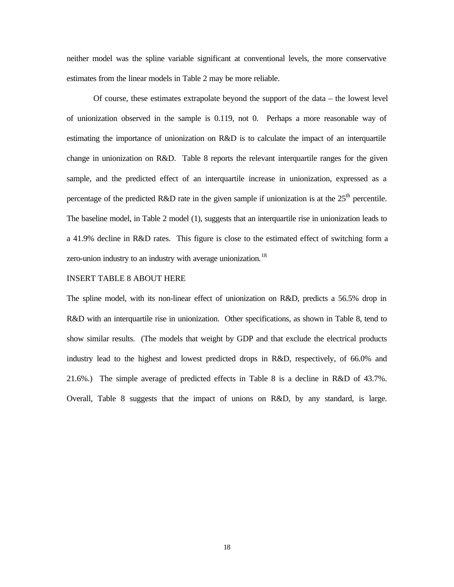neither model was the spline variable significant at conventional levels, the more conservative estimates from the linear models in Table 2 may be more reliable.

Of course, these estimates extrapolate beyond the support of the data – the lowest level of unionization observed in the sample is 0.119, not 0. Perhaps a more reasonable way of estimating the importance of unionization on R&D is to calculate the impact of an interquartile change in unionization on R&D. Table 8 reports the relevant interquartile ranges for the given sample, and the predicted effect of an interquartile increase in unionization, expressed as a percentage of the predicted R&D rate in the given sample if unionization is at the  $25<sup>th</sup>$  percentile. The baseline model, in Table 2 model (1), suggests that an interquartile rise in unionization leads to a 41.9% decline in R&D rates. This figure is close to the estimated effect of switching form a zero-union industry to an industry with average unionization.<sup>18</sup>

#### INSERT TABLE 8 ABOUT HERE

The spline model, with its non-linear effect of unionization on R&D, predicts a 56.5% drop in R&D with an interquartile rise in unionization. Other specifications, as shown in Table 8, tend to show similar results. (The models that weight by GDP and that exclude the electrical products industry lead to the highest and lowest predicted drops in R&D, respectively, of 66.0% and 21.6%.) The simple average of predicted effects in Table 8 is a decline in R&D of 43.7%. Overall, Table 8 suggests that the impact of unions on R&D, by any standard, is large.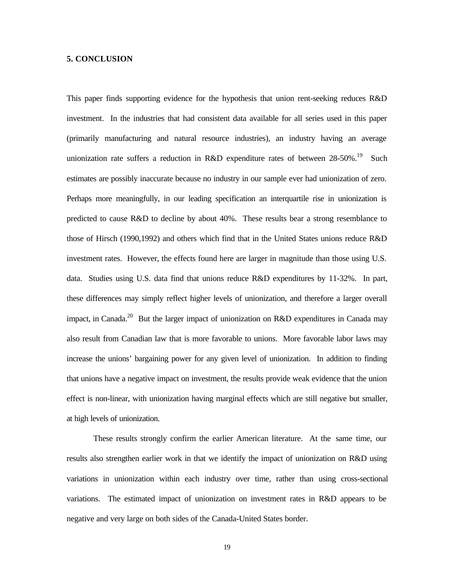#### **5. CONCLUSION**

This paper finds supporting evidence for the hypothesis that union rent-seeking reduces R&D investment. In the industries that had consistent data available for all series used in this paper (primarily manufacturing and natural resource industries), an industry having an average unionization rate suffers a reduction in R&D expenditure rates of between  $28-50\%$ .<sup>19</sup> Such estimates are possibly inaccurate because no industry in our sample ever had unionization of zero. Perhaps more meaningfully, in our leading specification an interquartile rise in unionization is predicted to cause R&D to decline by about 40%. These results bear a strong resemblance to those of Hirsch (1990,1992) and others which find that in the United States unions reduce R&D investment rates. However, the effects found here are larger in magnitude than those using U.S. data. Studies using U.S. data find that unions reduce R&D expenditures by 11-32%. In part, these differences may simply reflect higher levels of unionization, and therefore a larger overall impact, in Canada.<sup>20</sup> But the larger impact of unionization on R&D expenditures in Canada may also result from Canadian law that is more favorable to unions. More favorable labor laws may increase the unions' bargaining power for any given level of unionization. In addition to finding that unions have a negative impact on investment, the results provide weak evidence that the union effect is non-linear, with unionization having marginal effects which are still negative but smaller, at high levels of unionization.

These results strongly confirm the earlier American literature. At the same time, our results also strengthen earlier work in that we identify the impact of unionization on R&D using variations in unionization within each industry over time, rather than using cross-sectional variations. The estimated impact of unionization on investment rates in R&D appears to be negative and very large on both sides of the Canada-United States border.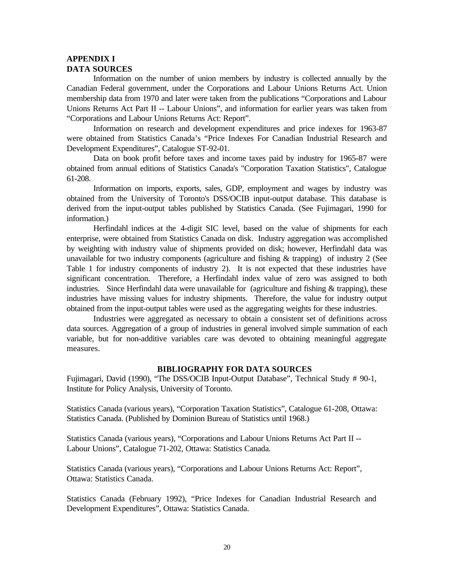#### **APPENDIX I DATA SOURCES**

Information on the number of union members by industry is collected annually by the Canadian Federal government, under the Corporations and Labour Unions Returns Act. Union membership data from 1970 and later were taken from the publications "Corporations and Labour Unions Returns Act Part II -- Labour Unions", and information for earlier years was taken from "Corporations and Labour Unions Returns Act: Report".

Information on research and development expenditures and price indexes for 1963-87 were obtained from Statistics Canada's "Price Indexes For Canadian Industrial Research and Development Expenditures", Catalogue ST-92-01.

Data on book profit before taxes and income taxes paid by industry for 1965-87 were obtained from annual editions of Statistics Canada's "Corporation Taxation Statistics", Catalogue 61-208.

Information on imports, exports, sales, GDP, employment and wages by industry was obtained from the University of Toronto's DSS/OCIB input-output database. This database is derived from the input-output tables published by Statistics Canada. (See Fujimagari, 1990 for information.)

Herfindahl indices at the 4-digit SIC level, based on the value of shipments for each enterprise, were obtained from Statistics Canada on disk. Industry aggregation was accomplished by weighting with industry value of shipments provided on disk; however, Herfindahl data was unavailable for two industry components (agriculture and fishing  $&$  trapping) of industry 2 (See Table 1 for industry components of industry 2). It is not expected that these industries have significant concentration. Therefore, a Herfindahl index value of zero was assigned to both industries. Since Herfindahl data were unavailable for (agriculture and fishing & trapping), these industries have missing values for industry shipments. Therefore, the value for industry output obtained from the input-output tables were used as the aggregating weights for these industries.

Industries were aggregated as necessary to obtain a consistent set of definitions across data sources. Aggregation of a group of industries in general involved simple summation of each variable, but for non-additive variables care was devoted to obtaining meaningful aggregate measures.

#### **BIBLIOGRAPHY FOR DATA SOURCES**

Fujimagari, David (1990), "The DSS/OCIB Input-Output Database", Technical Study # 90-1, Institute for Policy Analysis, University of Toronto.

Statistics Canada (various years), "Corporation Taxation Statistics", Catalogue 61-208, Ottawa: Statistics Canada. (Published by Dominion Bureau of Statistics until 1968.)

Statistics Canada (various years), "Corporations and Labour Unions Returns Act Part II -- Labour Unions", Catalogue 71-202, Ottawa: Statistics Canada.

Statistics Canada (various years), "Corporations and Labour Unions Returns Act: Report", Ottawa: Statistics Canada.

Statistics Canada (February 1992), "Price Indexes for Canadian Industrial Research and Development Expenditures", Ottawa: Statistics Canada.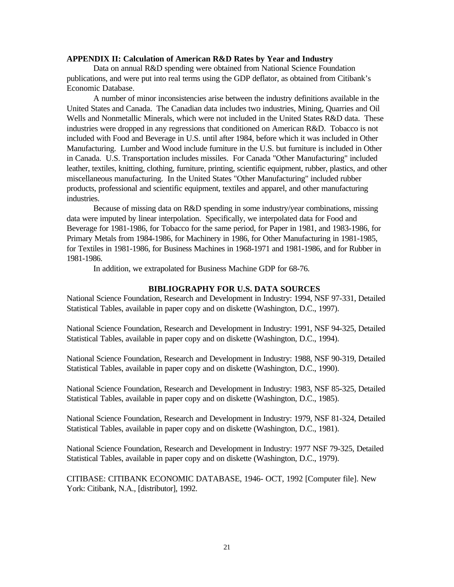#### **APPENDIX II: Calculation of American R&D Rates by Year and Industry**

Data on annual R&D spending were obtained from National Science Foundation publications, and were put into real terms using the GDP deflator, as obtained from Citibank's Economic Database.

A number of minor inconsistencies arise between the industry definitions available in the United States and Canada. The Canadian data includes two industries, Mining, Quarries and Oil Wells and Nonmetallic Minerals, which were not included in the United States R&D data. These industries were dropped in any regressions that conditioned on American R&D. Tobacco is not included with Food and Beverage in U.S. until after 1984, before which it was included in Other Manufacturing. Lumber and Wood include furniture in the U.S. but furniture is included in Other in Canada. U.S. Transportation includes missiles. For Canada "Other Manufacturing" included leather, textiles, knitting, clothing, furniture, printing, scientific equipment, rubber, plastics, and other miscellaneous manufacturing. In the United States "Other Manufacturing" included rubber products, professional and scientific equipment, textiles and apparel, and other manufacturing industries.

Because of missing data on R&D spending in some industry/year combinations, missing data were imputed by linear interpolation. Specifically, we interpolated data for Food and Beverage for 1981-1986, for Tobacco for the same period, for Paper in 1981, and 1983-1986, for Primary Metals from 1984-1986, for Machinery in 1986, for Other Manufacturing in 1981-1985, for Textiles in 1981-1986, for Business Machines in 1968-1971 and 1981-1986, and for Rubber in 1981-1986.

In addition, we extrapolated for Business Machine GDP for 68-76.

#### **BIBLIOGRAPHY FOR U.S. DATA SOURCES**

National Science Foundation, Research and Development in Industry: 1994, NSF 97-331, Detailed Statistical Tables, available in paper copy and on diskette (Washington, D.C., 1997).

National Science Foundation, Research and Development in Industry: 1991, NSF 94-325, Detailed Statistical Tables, available in paper copy and on diskette (Washington, D.C., 1994).

National Science Foundation, Research and Development in Industry: 1988, NSF 90-319, Detailed Statistical Tables, available in paper copy and on diskette (Washington, D.C., 1990).

National Science Foundation, Research and Development in Industry: 1983, NSF 85-325, Detailed Statistical Tables, available in paper copy and on diskette (Washington, D.C., 1985).

National Science Foundation, Research and Development in Industry: 1979, NSF 81-324, Detailed Statistical Tables, available in paper copy and on diskette (Washington, D.C., 1981).

National Science Foundation, Research and Development in Industry: 1977 NSF 79-325, Detailed Statistical Tables, available in paper copy and on diskette (Washington, D.C., 1979).

CITIBASE: CITIBANK ECONOMIC DATABASE, 1946- OCT, 1992 [Computer file]. New York: Citibank, N.A., [distributor], 1992.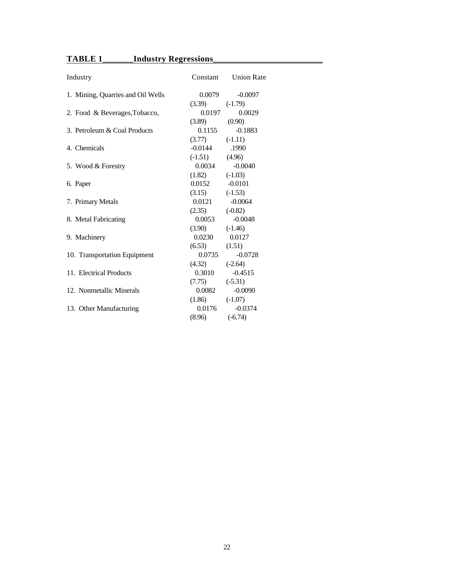## **TABLE 1\_\_\_\_\_\_\_Industry Regressions\_\_\_\_\_\_\_\_\_\_\_\_\_\_\_\_\_\_\_\_\_\_\_\_\_**

| Industry                          | Constant           | <b>Union Rate</b> |
|-----------------------------------|--------------------|-------------------|
| 1. Mining, Quarries and Oil Wells | 0.0079             | $-0.0097$         |
|                                   | (3.39)             | $(-1.79)$         |
| 2. Food & Beverages, Tobacco,     | 0.0197             | 0.0029            |
|                                   | $(3.89)$ $(0.90)$  |                   |
| 3. Petroleum & Coal Products      | 0.1155             | $-0.1883$         |
|                                   | (3.77)             | $(-1.11)$         |
| 4. Chemicals                      | $-0.0144$          | .1990             |
|                                   | $(-1.51)$          | (4.96)            |
| 5. Wood & Forestry                | 0.0034             | $-0.0040$         |
|                                   | (1.82)             | $(-1.03)$         |
| 6. Paper                          | $0.0152$ $-0.0101$ |                   |
|                                   | (3.15)             | $(-1.53)$         |
| 7. Primary Metals                 | 0.0121             | $-0.0064$         |
|                                   | (2.35)             | $(-0.82)$         |
| 8. Metal Fabricating              | 0.0053             | $-0.0048$         |
|                                   | (3.90)             | $(-1.46)$         |
| 9. Machinery                      | 0.0230             | 0.0127            |
|                                   | (6.53)             | (1.51)            |
| 10. Transportation Equipment      | 0.0735             | $-0.0728$         |
|                                   | (4.32)             | $(-2.64)$         |
| 11. Electrical Products           | 0.3010             | $-0.4515$         |
|                                   | (7.75)             | $(-5.31)$         |
| 12. Nonmetallic Minerals          | 0.0082             | $-0.0090$         |
|                                   | (1.86)             | $(-1.07)$         |
| 13. Other Manufacturing           | 0.0176             | $-0.0374$         |
|                                   | (8.96)             | $(-6.74)$         |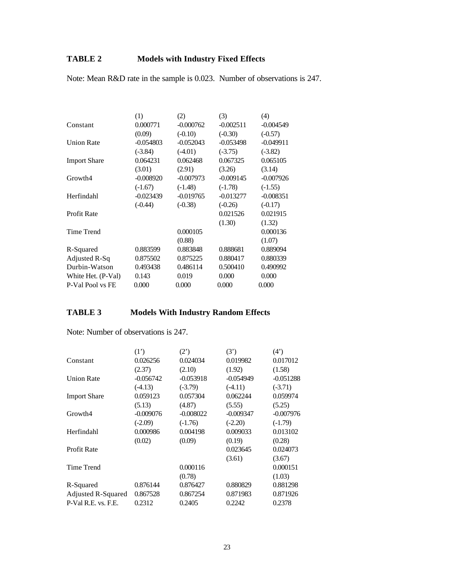## **TABLE 2 Models with Industry Fixed Effects**

Note: Mean R&D rate in the sample is 0.023. Number of observations is 247.

|                     | (1)         | (2)         | (3)         | (4)         |
|---------------------|-------------|-------------|-------------|-------------|
| Constant            | 0.000771    | $-0.000762$ | $-0.002511$ | $-0.004549$ |
|                     | (0.09)      | $(-0.10)$   | $(-0.30)$   | $(-0.57)$   |
| <b>Union Rate</b>   | $-0.054803$ | $-0.052043$ | $-0.053498$ | $-0.049911$ |
|                     | $(-3.84)$   | $(-4.01)$   | $(-3.75)$   | $(-3.82)$   |
| <b>Import Share</b> | 0.064231    | 0.062468    | 0.067325    | 0.065105    |
|                     | (3.01)      | (2.91)      | (3.26)      | (3.14)      |
| Growth4             | $-0.008920$ | $-0.007973$ | $-0.009145$ | $-0.007926$ |
|                     | $(-1.67)$   | $(-1.48)$   | $(-1.78)$   | $(-1.55)$   |
| Herfindahl          | $-0.023439$ | $-0.019765$ | $-0.013277$ | $-0.008351$ |
|                     | $(-0.44)$   | $(-0.38)$   | $(-0.26)$   | $(-0.17)$   |
| Profit Rate         |             |             | 0.021526    | 0.021915    |
|                     |             |             | (1.30)      | (1.32)      |
| Time Trend          |             | 0.000105    |             | 0.000136    |
|                     |             | (0.88)      |             | (1.07)      |
| R-Squared           | 0.883599    | 0.883848    | 0.888681    | 0.889094    |
| Adjusted R-Sq       | 0.875502    | 0.875225    | 0.880417    | 0.880339    |
| Durbin-Watson       | 0.493438    | 0.486114    | 0.500410    | 0.490992    |
| White Het. (P-Val)  | 0.143       | 0.019       | 0.000       | 0.000       |
| P-Val Pool vs FE    | 0.000       | 0.000       | 0.000       | 0.000       |

## **TABLE 3 Models With Industry Random Effects**

|                     | (1')        | (2')        | (3')        | $(4^{\prime})$ |
|---------------------|-------------|-------------|-------------|----------------|
| Constant            | 0.026256    | 0.024034    | 0.019982    | 0.017012       |
|                     | (2.37)      | (2.10)      | (1.92)      | (1.58)         |
| <b>Union Rate</b>   | $-0.056742$ | $-0.053918$ | $-0.054949$ | $-0.051288$    |
|                     | $(-4.13)$   | $(-3.79)$   | $(-4.11)$   | $(-3.71)$      |
| <b>Import Share</b> | 0.059123    | 0.057304    | 0.062244    | 0.059974       |
|                     | (5.13)      | (4.87)      | (5.55)      | (5.25)         |
| Growth4             | $-0.009076$ | $-0.008022$ | $-0.009347$ | $-0.007976$    |
|                     | $(-2.09)$   | $(-1.76)$   | $(-2.20)$   | $(-1.79)$      |
| Herfindahl          | 0.000986    | 0.004198    | 0.009033    | 0.013102       |
|                     | (0.02)      | (0.09)      | (0.19)      | (0.28)         |
| Profit Rate         |             |             | 0.023645    | 0.024073       |
|                     |             |             | (3.61)      | (3.67)         |
| Time Trend          |             | 0.000116    |             | 0.000151       |
|                     |             | (0.78)      |             | (1.03)         |
| R-Squared           | 0.876144    | 0.876427    | 0.880829    | 0.881298       |
| Adjusted R-Squared  | 0.867528    | 0.867254    | 0.871983    | 0.871926       |
| P-Val R.E. vs. F.E. | 0.2312      | 0.2405      | 0.2242      | 0.2378         |

Note: Number of observations is 247.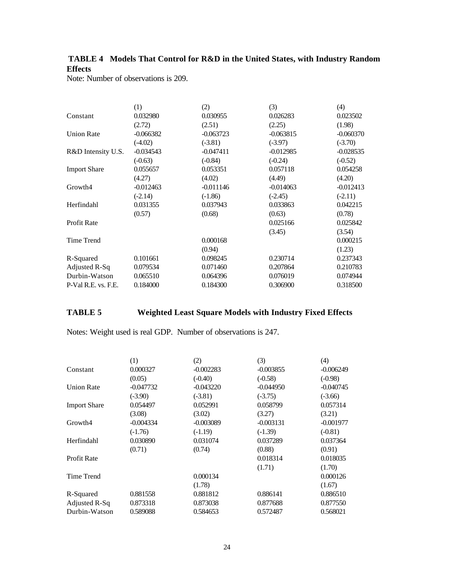### **TABLE 4 Models That Control for R&D in the United States, with Industry Random Effects**

Note: Number of observations is 209.

|                     | (1)         | (2)         | (3)         | (4)         |
|---------------------|-------------|-------------|-------------|-------------|
| Constant            | 0.032980    | 0.030955    | 0.026283    | 0.023502    |
|                     | (2.72)      | (2.51)      | (2.25)      | (1.98)      |
| <b>Union Rate</b>   | $-0.066382$ | $-0.063723$ | $-0.063815$ | $-0.060370$ |
|                     | $(-4.02)$   | $(-3.81)$   | $(-3.97)$   | $(-3.70)$   |
| R&D Intensity U.S.  | $-0.034543$ | $-0.047411$ | $-0.012985$ | $-0.028535$ |
|                     | $(-0.63)$   | $(-0.84)$   | $(-0.24)$   | $(-0.52)$   |
| <b>Import Share</b> | 0.055657    | 0.053351    | 0.057118    | 0.054258    |
|                     | (4.27)      | (4.02)      | (4.49)      | (4.20)      |
| Growth4             | $-0.012463$ | $-0.011146$ | $-0.014063$ | $-0.012413$ |
|                     | $(-2.14)$   | $(-1.86)$   | $(-2.45)$   | $(-2.11)$   |
| Herfindahl          | 0.031355    | 0.037943    | 0.033863    | 0.042215    |
|                     | (0.57)      | (0.68)      | (0.63)      | (0.78)      |
| Profit Rate         |             |             | 0.025166    | 0.025842    |
|                     |             |             | (3.45)      | (3.54)      |
| Time Trend          |             | 0.000168    |             | 0.000215    |
|                     |             | (0.94)      |             | (1.23)      |
| R-Squared           | 0.101661    | 0.098245    | 0.230714    | 0.237343    |
| Adjusted R-Sq       | 0.079534    | 0.071460    | 0.207864    | 0.210783    |
| Durbin-Watson       | 0.065510    | 0.064396    | 0.076019    | 0.074944    |
| P-Val R.E. vs. F.E. | 0.184000    | 0.184300    | 0.306900    | 0.318500    |

## **TABLE 5 Weighted Least Square Models with Industry Fixed Effects**

Notes: Weight used is real GDP. Number of observations is 247.

|                     | (1)         | (2)         | (3)         | (4)         |
|---------------------|-------------|-------------|-------------|-------------|
| Constant            | 0.000327    | $-0.002283$ | $-0.003855$ | $-0.006249$ |
|                     | (0.05)      | $(-0.40)$   | $(-0.58)$   | $(-0.98)$   |
| <b>Union Rate</b>   | $-0.047732$ | $-0.043220$ | $-0.044950$ | $-0.040745$ |
|                     | $(-3.90)$   | $(-3.81)$   | $(-3.75)$   | $(-3.66)$   |
| <b>Import Share</b> | 0.054497    | 0.052991    | 0.058799    | 0.057314    |
|                     | (3.08)      | (3.02)      | (3.27)      | (3.21)      |
| Growth4             | $-0.004334$ | $-0.003089$ | $-0.003131$ | $-0.001977$ |
|                     | $(-1.76)$   | $(-1.19)$   | $(-1.39)$   | $(-0.81)$   |
| Herfindahl          | 0.030890    | 0.031074    | 0.037289    | 0.037364    |
|                     | (0.71)      | (0.74)      | (0.88)      | (0.91)      |
| Profit Rate         |             |             | 0.018314    | 0.018035    |
|                     |             |             | (1.71)      | (1.70)      |
| Time Trend          |             | 0.000134    |             | 0.000126    |
|                     |             | (1.78)      |             | (1.67)      |
| R-Squared           | 0.881558    | 0.881812    | 0.886141    | 0.886510    |
| Adjusted R-Sq       | 0.873318    | 0.873038    | 0.877688    | 0.877550    |
| Durbin-Watson       | 0.589088    | 0.584653    | 0.572487    | 0.568021    |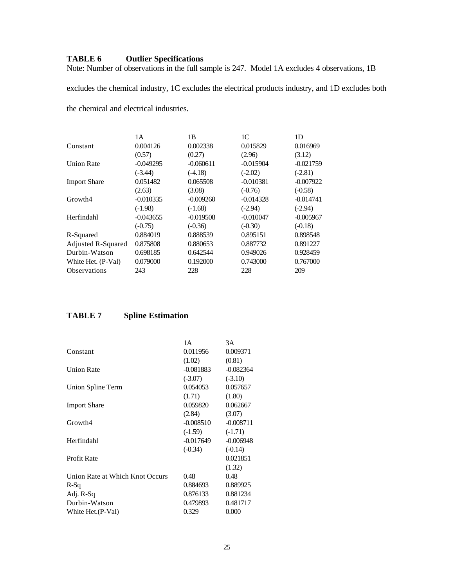### **TABLE 6 Outlier Specifications**

Note: Number of observations in the full sample is 247. Model 1A excludes 4 observations, 1B

excludes the chemical industry, 1C excludes the electrical products industry, and 1D excludes both

the chemical and electrical industries.

|                     | 1 A         | 1B          | 1C          | 1D          |
|---------------------|-------------|-------------|-------------|-------------|
| Constant            | 0.004126    | 0.002338    | 0.015829    | 0.016969    |
|                     | (0.57)      | (0.27)      | (2.96)      | (3.12)      |
| <b>Union Rate</b>   | $-0.049295$ | $-0.060611$ | $-0.015904$ | $-0.021759$ |
|                     | $(-3.44)$   | $(-4.18)$   | $(-2.02)$   | $(-2.81)$   |
| <b>Import Share</b> | 0.051482    | 0.065508    | $-0.010381$ | $-0.007922$ |
|                     | (2.63)      | (3.08)      | $(-0.76)$   | $(-0.58)$   |
| Growth4             | $-0.010335$ | $-0.009260$ | $-0.014328$ | $-0.014741$ |
|                     | $(-1.98)$   | $(-1.68)$   | $(-2.94)$   | $(-2.94)$   |
| Herfindahl          | $-0.043655$ | $-0.019508$ | $-0.010047$ | $-0.005967$ |
|                     | $(-0.75)$   | $(-0.36)$   | $(-0.30)$   | $(-0.18)$   |
| R-Squared           | 0.884019    | 0.888539    | 0.895151    | 0.898548    |
| Adjusted R-Squared  | 0.875808    | 0.880653    | 0.887732    | 0.891227    |
| Durbin-Watson       | 0.698185    | 0.642544    | 0.949026    | 0.928459    |
| White Het. (P-Val)  | 0.079000    | 0.192000    | 0.743000    | 0.767000    |
| <b>Observations</b> | 243         | 228         | 228         | 209         |

### **TABLE 7 Spline Estimation**

|                                 | 1 A         | 3A          |
|---------------------------------|-------------|-------------|
| Constant                        | 0.011956    | 0.009371    |
|                                 | (1.02)      | (0.81)      |
| <b>Union Rate</b>               | $-0.081883$ | $-0.082364$ |
|                                 | $(-3.07)$   | $(-3.10)$   |
| Union Spline Term               | 0.054053    | 0.057657    |
|                                 | (1.71)      | (1.80)      |
| <b>Import Share</b>             | 0.059820    | 0.062667    |
|                                 | (2.84)      | (3.07)      |
| Growth4                         | $-0.008510$ | $-0.008711$ |
|                                 | $(-1.59)$   | $(-1.71)$   |
| Herfindahl                      | -0.017649   | $-0.006948$ |
|                                 | $(-0.34)$   | $(-0.14)$   |
| Profit Rate                     |             | 0.021851    |
|                                 |             | (1.32)      |
| Union Rate at Which Knot Occurs | 0.48        | 0.48        |
| R-Sq                            | 0.884693    | 0.889925    |
| Adj. R-Sq                       | 0.876133    | 0.881234    |
| Durbin-Watson                   | 0.479893    | 0.481717    |
| White Het. (P-Val)              | 0.329       | 0.000       |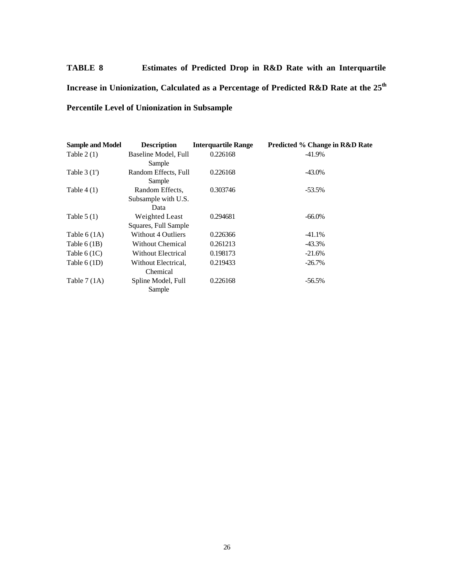# **TABLE 8 Estimates of Predicted Drop in R&D Rate with an Interquartile Increase in Unionization, Calculated as a Percentage of Predicted R&D Rate at the 25th Percentile Level of Unionization in Subsample**

| <b>Sample and Model</b> | <b>Description</b>        | <b>Interquartile Range</b> | <b>Predicted % Change in R&amp;D Rate</b> |
|-------------------------|---------------------------|----------------------------|-------------------------------------------|
| Table $2(1)$            | Baseline Model, Full      | 0.226168                   | $-41.9\%$                                 |
|                         | Sample                    |                            |                                           |
| Table $3(1')$           | Random Effects, Full      | 0.226168                   | -43.0%                                    |
|                         | Sample                    |                            |                                           |
| Table $4(1)$            | Random Effects,           | 0.303746                   | $-53.5\%$                                 |
|                         | Subsample with U.S.       |                            |                                           |
|                         | Data                      |                            |                                           |
| Table $5(1)$            | Weighted Least            | 0.294681                   | $-66.0\%$                                 |
|                         | Squares, Full Sample      |                            |                                           |
| Table $6(1A)$           | <b>Without 4 Outliers</b> | 0.226366                   | $-41.1%$                                  |
| Table $6(1B)$           | <b>Without Chemical</b>   | 0.261213                   | $-43.3\%$                                 |
| Table $6(1C)$           | <b>Without Electrical</b> | 0.198173                   | $-21.6%$                                  |
| Table $6(1D)$           | Without Electrical,       | 0.219433                   | $-26.7\%$                                 |
|                         | Chemical                  |                            |                                           |
| Table $7(1A)$           | Spline Model, Full        | 0.226168                   | $-56.5\%$                                 |
|                         | Sample                    |                            |                                           |
|                         |                           |                            |                                           |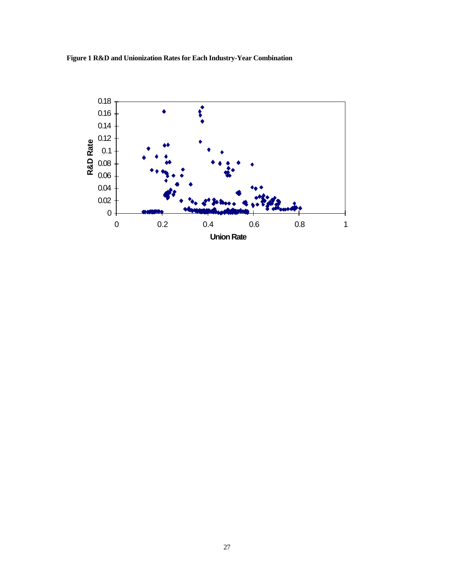

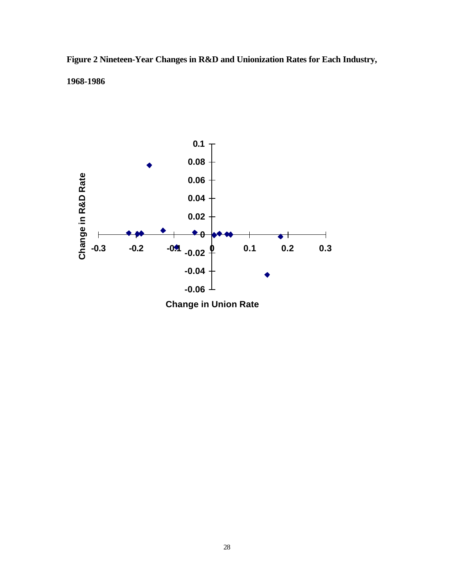## **Figure 2 Nineteen-Year Changes in R&D and Unionization Rates for Each Industry, 1968-1986**



**Change in Union Rate**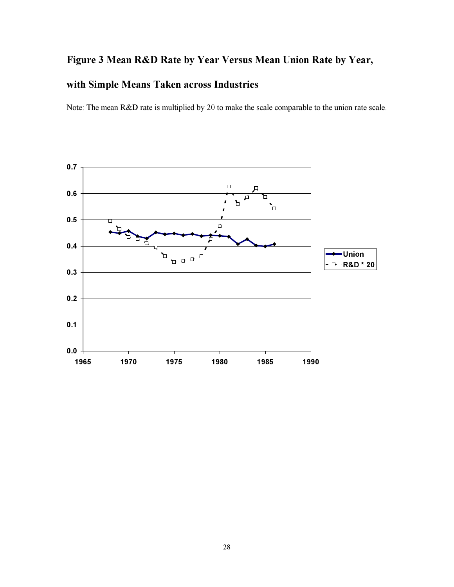## Figure 3 Mean R&D Rate by Year Versus Mean Union Rate by Year,

## with Simple Means Taken across Industries

Note: The mean R&D rate is multiplied by 20 to make the scale comparable to the union rate scale.

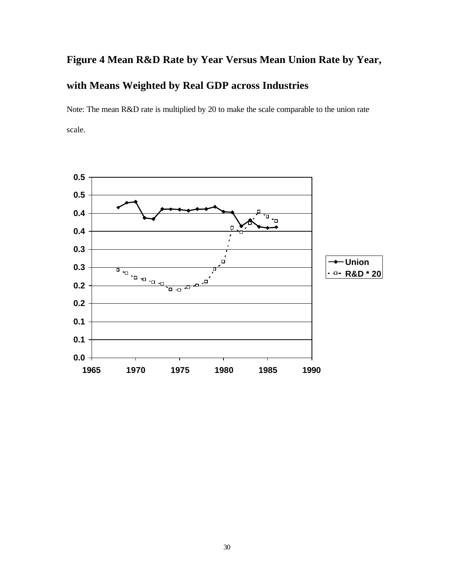# **Figure 4 Mean R&D Rate by Year Versus Mean Union Rate by Year, with Means Weighted by Real GDP across Industries**

Note: The mean R&D rate is multiplied by 20 to make the scale comparable to the union rate scale.

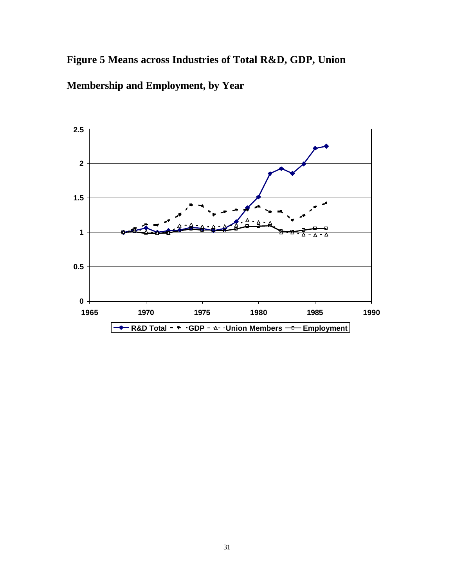## **Figure 5 Means across Industries of Total R&D, GDP, Union**



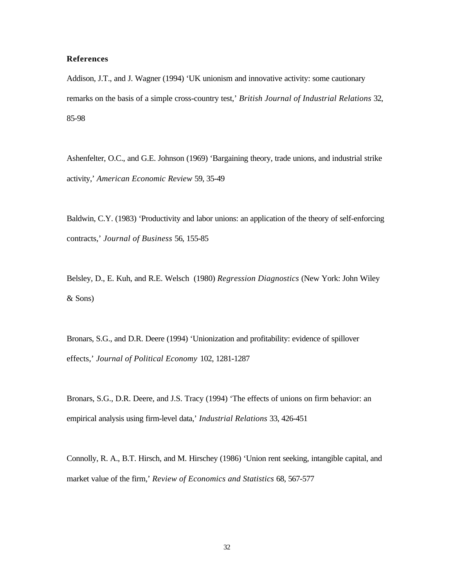#### **References**

Addison, J.T., and J. Wagner (1994) 'UK unionism and innovative activity: some cautionary remarks on the basis of a simple cross-country test,' *British Journal of Industrial Relations* 32, 85-98

Ashenfelter, O.C., and G.E. Johnson (1969) 'Bargaining theory, trade unions, and industrial strike activity,' *American Economic Review* 59, 35-49

Baldwin, C.Y. (1983) 'Productivity and labor unions: an application of the theory of self-enforcing contracts,' *Journal of Business* 56, 155-85

Belsley, D., E. Kuh, and R.E. Welsch (1980) *Regression Diagnostics* (New York: John Wiley & Sons)

Bronars, S.G., and D.R. Deere (1994) 'Unionization and profitability: evidence of spillover effects,' *Journal of Political Economy* 102, 1281-1287

Bronars, S.G., D.R. Deere, and J.S. Tracy (1994) 'The effects of unions on firm behavior: an empirical analysis using firm-level data,' *Industrial Relations* 33, 426-451

Connolly, R. A., B.T. Hirsch, and M. Hirschey (1986) 'Union rent seeking, intangible capital, and market value of the firm,' *Review of Economics and Statistics* 68, 567-577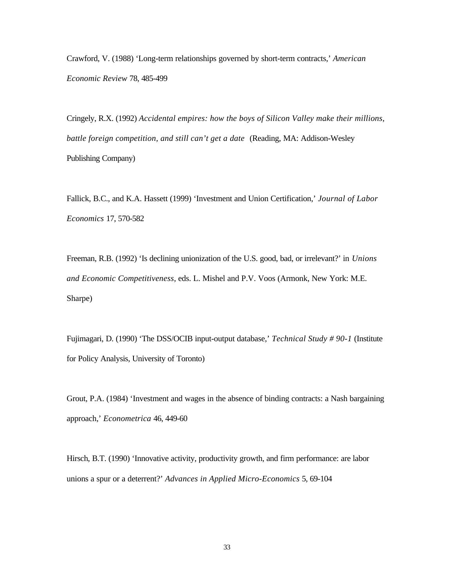Crawford, V. (1988) 'Long-term relationships governed by short-term contracts,' *American Economic Review* 78, 485-499

Cringely, R.X. (1992) *Accidental empires: how the boys of Silicon Valley make their millions, battle foreign competition, and still can't get a date* (Reading, MA: Addison-Wesley Publishing Company)

Fallick, B.C., and K.A. Hassett (1999) 'Investment and Union Certification,' *Journal of Labor Economics* 17, 570-582

Freeman, R.B. (1992) 'Is declining unionization of the U.S. good, bad, or irrelevant?' in *Unions and Economic Competitiveness*, eds. L. Mishel and P.V. Voos (Armonk, New York: M.E. Sharpe)

Fujimagari, D. (1990) 'The DSS/OCIB input-output database,' *Technical Study # 90-1* (Institute for Policy Analysis, University of Toronto)

Grout, P.A. (1984) 'Investment and wages in the absence of binding contracts: a Nash bargaining approach,' *Econometrica* 46, 449-60

Hirsch, B.T. (1990) 'Innovative activity, productivity growth, and firm performance: are labor unions a spur or a deterrent?' *Advances in Applied Micro-Economics* 5, 69-104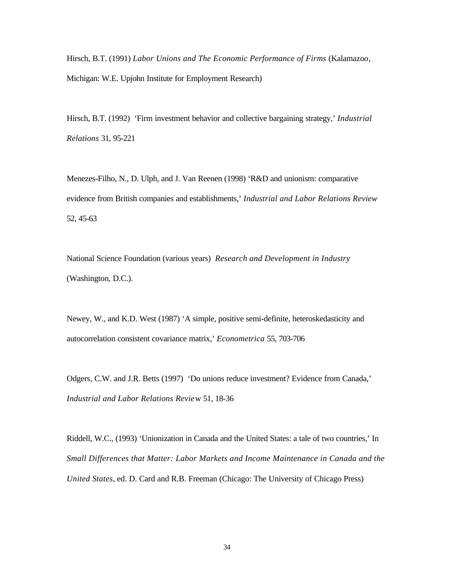Hirsch, B.T. (1991) *Labor Unions and The Economic Performance of Firms* (Kalamazo*o*, Michigan: W.E. Upjohn Institute for Employment Research)

Hirsch, B.T. (1992) 'Firm investment behavior and collective bargaining strategy,' *Industrial Relations* 31, 95-221

Menezes-Filho, N., D. Ulph, and J. Van Reenen (1998) 'R&D and unionism: comparative evidence from British companies and establishments,' *Industrial and Labor Relations Review* 52, 45-63

National Science Foundation (various years) *Research and Development in Industry* (Washington, D.C.).

Newey, W., and K.D. West (1987) 'A simple, positive semi-definite, heteroskedasticity and autocorrelation consistent covariance matrix,' *Econometrica* 55, 703-706

Odgers, C.W. and J.R. Betts (1997) 'Do unions reduce investment? Evidence from Canada,' *Industrial and Labor Relations Revie*w 51, 18-36

Riddell, W.C., (1993) 'Unionization in Canada and the United States: a tale of two countries,' In *Small Differences that Matter: Labor Markets and Income Maintenance in Canada and the United States*, ed. D. Card and R.B. Freeman (Chicago: The University of Chicago Press)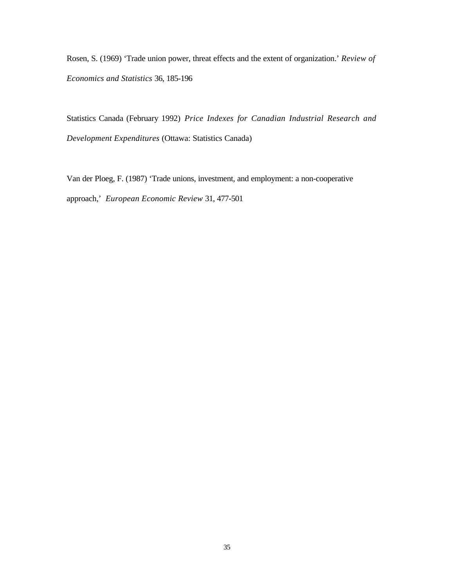Rosen, S. (1969) 'Trade union power, threat effects and the extent of organization.' *Review of Economics and Statistics* 36, 185-196

Statistics Canada (February 1992) *Price Indexes for Canadian Industrial Research and Development Expenditures* (Ottawa: Statistics Canada)

Van der Ploeg, F. (1987) 'Trade unions, investment, and employment: a non-cooperative approach,' *European Economic Review* 31, 477-501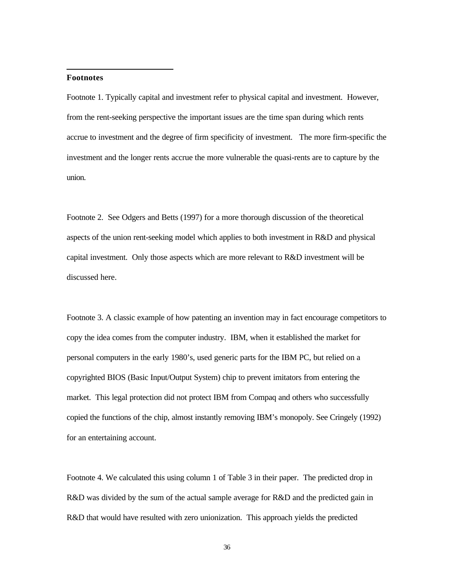#### **Footnotes**

l

Footnote 1. Typically capital and investment refer to physical capital and investment. However, from the rent-seeking perspective the important issues are the time span during which rents accrue to investment and the degree of firm specificity of investment. The more firm-specific the investment and the longer rents accrue the more vulnerable the quasi-rents are to capture by the union.

Footnote 2. See Odgers and Betts (1997) for a more thorough discussion of the theoretical aspects of the union rent-seeking model which applies to both investment in R&D and physical capital investment. Only those aspects which are more relevant to R&D investment will be discussed here.

Footnote 3. A classic example of how patenting an invention may in fact encourage competitors to copy the idea comes from the computer industry. IBM, when it established the market for personal computers in the early 1980's, used generic parts for the IBM PC, but relied on a copyrighted BIOS (Basic Input/Output System) chip to prevent imitators from entering the market. This legal protection did not protect IBM from Compaq and others who successfully copied the functions of the chip, almost instantly removing IBM's monopoly. See Cringely (1992) for an entertaining account.

Footnote 4. We calculated this using column 1 of Table 3 in their paper. The predicted drop in R&D was divided by the sum of the actual sample average for R&D and the predicted gain in R&D that would have resulted with zero unionization. This approach yields the predicted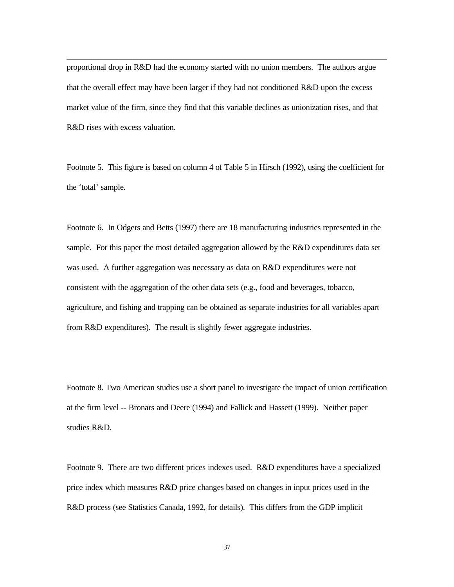proportional drop in R&D had the economy started with no union members. The authors argue that the overall effect may have been larger if they had not conditioned R&D upon the excess market value of the firm, since they find that this variable declines as unionization rises, and that R&D rises with excess valuation.

l

Footnote 5. This figure is based on column 4 of Table 5 in Hirsch (1992), using the coefficient for the 'total' sample.

Footnote 6. In Odgers and Betts (1997) there are 18 manufacturing industries represented in the sample. For this paper the most detailed aggregation allowed by the R&D expenditures data set was used. A further aggregation was necessary as data on R&D expenditures were not consistent with the aggregation of the other data sets (e.g., food and beverages, tobacco, agriculture, and fishing and trapping can be obtained as separate industries for all variables apart from R&D expenditures). The result is slightly fewer aggregate industries.

Footnote 8. Two American studies use a short panel to investigate the impact of union certification at the firm level -- Bronars and Deere (1994) and Fallick and Hassett (1999). Neither paper studies R&D.

Footnote 9. There are two different prices indexes used. R&D expenditures have a specialized price index which measures R&D price changes based on changes in input prices used in the R&D process (see Statistics Canada, 1992, for details). This differs from the GDP implicit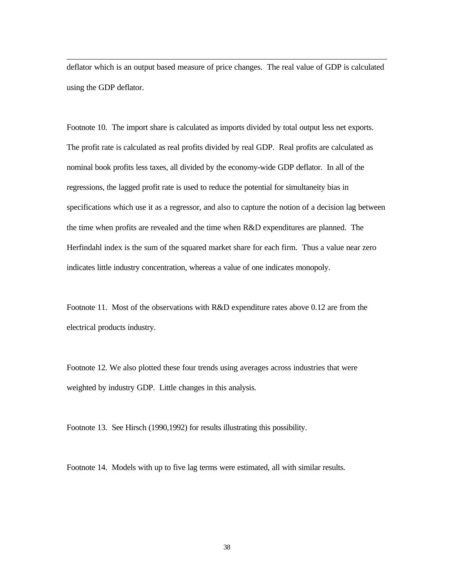deflator which is an output based measure of price changes. The real value of GDP is calculated using the GDP deflator.

l

Footnote 10. The import share is calculated as imports divided by total output less net exports. The profit rate is calculated as real profits divided by real GDP. Real profits are calculated as nominal book profits less taxes, all divided by the economy-wide GDP deflator. In all of the regressions, the lagged profit rate is used to reduce the potential for simultaneity bias in specifications which use it as a regressor, and also to capture the notion of a decision lag between the time when profits are revealed and the time when R&D expenditures are planned. The Herfindahl index is the sum of the squared market share for each firm. Thus a value near zero indicates little industry concentration, whereas a value of one indicates monopoly.

Footnote 11. Most of the observations with R&D expenditure rates above 0.12 are from the electrical products industry.

Footnote 12. We also plotted these four trends using averages across industries that were weighted by industry GDP. Little changes in this analysis.

Footnote 13. See Hirsch (1990,1992) for results illustrating this possibility.

Footnote 14. Models with up to five lag terms were estimated, all with similar results.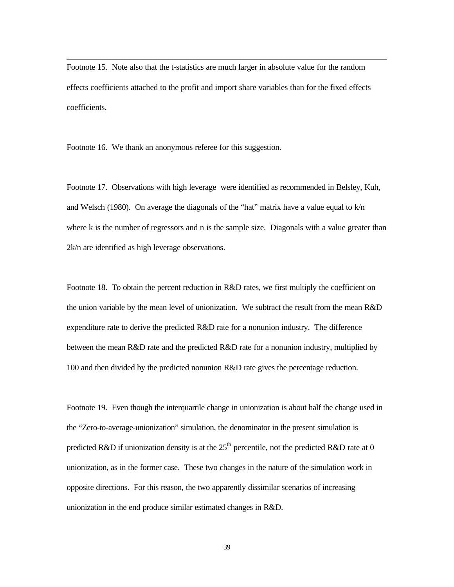Footnote 15. Note also that the t-statistics are much larger in absolute value for the random effects coefficients attached to the profit and import share variables than for the fixed effects coefficients.

Footnote 16. We thank an anonymous referee for this suggestion.

l

Footnote 17. Observations with high leverage were identified as recommended in Belsley, Kuh, and Welsch (1980). On average the diagonals of the "hat" matrix have a value equal to k/n where k is the number of regressors and n is the sample size. Diagonals with a value greater than 2k/n are identified as high leverage observations.

Footnote 18. To obtain the percent reduction in R&D rates, we first multiply the coefficient on the union variable by the mean level of unionization. We subtract the result from the mean R&D expenditure rate to derive the predicted R&D rate for a nonunion industry. The difference between the mean R&D rate and the predicted R&D rate for a nonunion industry, multiplied by 100 and then divided by the predicted nonunion R&D rate gives the percentage reduction.

Footnote 19. Even though the interquartile change in unionization is about half the change used in the "Zero-to-average-unionization" simulation, the denominator in the present simulation is predicted R&D if unionization density is at the  $25<sup>th</sup>$  percentile, not the predicted R&D rate at 0 unionization, as in the former case. These two changes in the nature of the simulation work in opposite directions. For this reason, the two apparently dissimilar scenarios of increasing unionization in the end produce similar estimated changes in R&D.